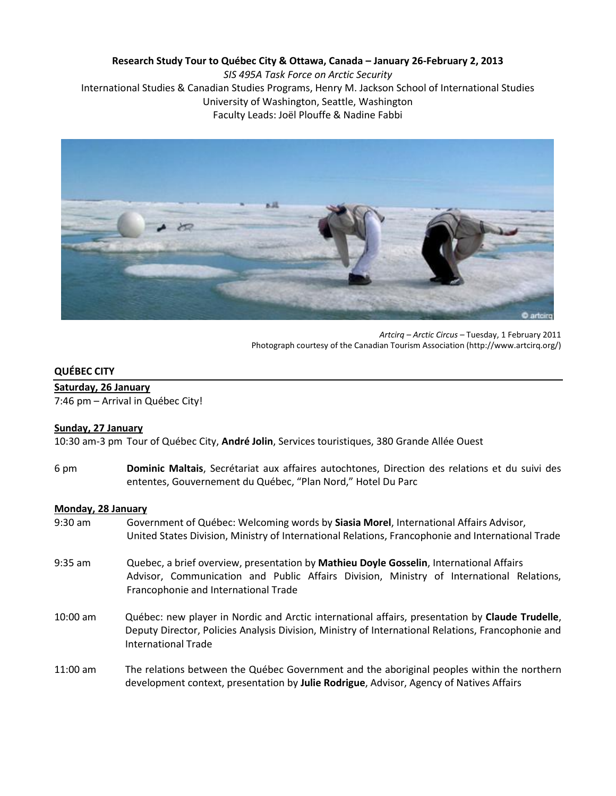# **Research Study Tour to Québec City & Ottawa, Canada – January 26-February 2, 2013**

*SIS 495A Task Force on Arctic Security* International Studies & Canadian Studies Programs, Henry M. Jackson School of International Studies University of Washington, Seattle, Washington Faculty Leads: Joël Plouffe & Nadine Fabbi



*Artcirq – Arctic Circus –* Tuesday, 1 February 2011 Photograph courtesy of the Canadian Tourism Association (http://www.artcirq.org/)

### **QUÉBEC CITY**

### **Saturday, 26 January**

7:46 pm – Arrival in Québec City!

### **Sunday, 27 January**

10:30 am-3 pm Tour of Québec City, **André Jolin**, Services touristiques, 380 Grande Allée Ouest

6 pm **Dominic Maltais**, Secrétariat aux affaires autochtones, Direction des relations et du suivi des ententes, Gouvernement du Québec, "Plan Nord," Hotel Du Parc

### **Monday, 28 January**

- 9:30 am Government of Québec: Welcoming words by **Siasia Morel**, International Affairs Advisor, United States Division, Ministry of International Relations, Francophonie and International Trade
- 9:35 am Quebec, a brief overview, presentation by **Mathieu Doyle Gosselin**, International Affairs Advisor, Communication and Public Affairs Division, Ministry of International Relations, Francophonie and International Trade
- 10:00 am Québec: new player in Nordic and Arctic international affairs, presentation by **Claude Trudelle**, Deputy Director, Policies Analysis Division, Ministry of International Relations, Francophonie and International Trade
- 11:00 am The relations between the Québec Government and the aboriginal peoples within the northern development context, presentation by **Julie Rodrigue**, Advisor, Agency of Natives Affairs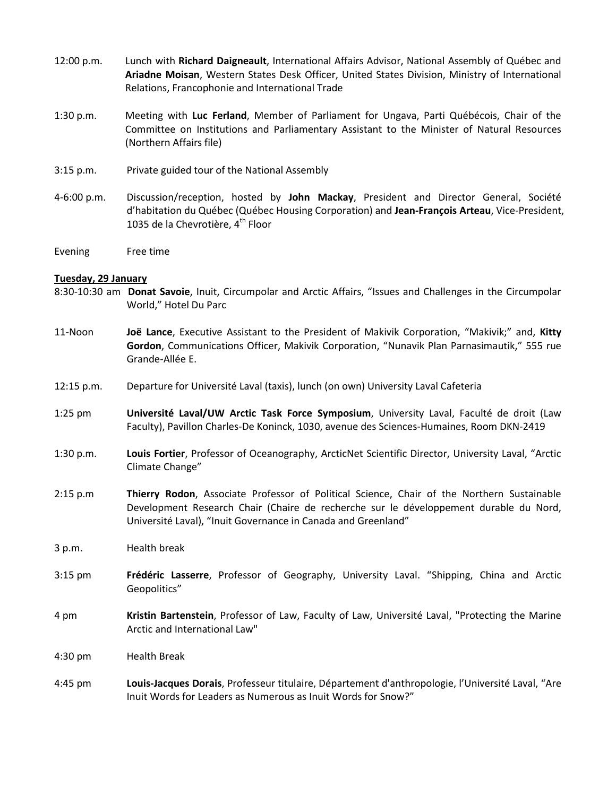- 12:00 p.m. Lunch with **Richard Daigneault**, International Affairs Advisor, National Assembly of Québec and **Ariadne Moisan**, Western States Desk Officer, United States Division, Ministry of International Relations, Francophonie and International Trade
- 1:30 p.m. Meeting with **Luc Ferland**, Member of Parliament for Ungava, Parti Québécois, Chair of the Committee on Institutions and Parliamentary Assistant to the Minister of Natural Resources (Northern Affairs file)
- 3:15 p.m. Private guided tour of the National Assembly
- 4-6:00 p.m. Discussion/reception, hosted by **John Mackay**, President and Director General, Société d'habitation du Québec (Québec Housing Corporation) and **Jean-François Arteau**, Vice-President, 1035 de la Chevrotière, 4<sup>th</sup> Floor
- Evening Free time

### **Tuesday, 29 January**

- 8:30-10:30 am **Donat Savoie**, Inuit, Circumpolar and Arctic Affairs, "Issues and Challenges in the Circumpolar World," Hotel Du Parc
- 11-Noon **Joë Lance**, Executive Assistant to the President of Makivik Corporation, "Makivik;" and, **Kitty Gordon**, Communications Officer, Makivik Corporation, "Nunavik Plan Parnasimautik," 555 rue Grande-Allée E.
- 12:15 p.m. Departure for Université Laval (taxis), lunch (on own) University Laval Cafeteria
- 1:25 pm **Université Laval/UW Arctic Task Force Symposium**, University Laval, Faculté de droit (Law Faculty), Pavillon Charles-De Koninck, 1030, avenue des Sciences-Humaines, Room DKN-2419
- 1:30 p.m. **Louis Fortier**, Professor of Oceanography, ArcticNet Scientific Director, University Laval, "Arctic Climate Change"
- 2:15 p.m **Thierry Rodon**, Associate Professor of Political Science, Chair of the Northern Sustainable Development Research Chair (Chaire de recherche sur le développement durable du Nord, Université Laval), "Inuit Governance in Canada and Greenland"
- 3 p.m. Health break
- 3:15 pm **Frédéric Lasserre**, Professor of Geography, University Laval. "Shipping, China and Arctic Geopolitics"
- 4 pm **Kristin Bartenstein**, Professor of Law, Faculty of Law, Université Laval, "Protecting the Marine Arctic and International Law"
- 4:30 pm Health Break
- 4:45 pm **Louis-Jacques Dorais**, Professeur titulaire, Département d'anthropologie, l'Université Laval, "Are Inuit Words for Leaders as Numerous as Inuit Words for Snow?"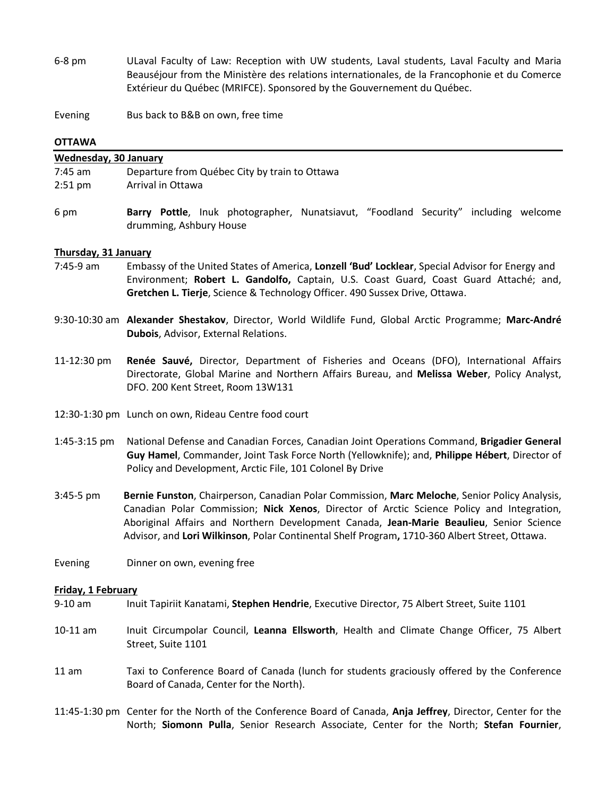- 6-8 pm ULaval Faculty of Law: Reception with UW students, Laval students, Laval Faculty and Maria Beauséjour from the Ministère des relations internationales, de la Francophonie et du Comerce Extérieur du Québec (MRIFCE). Sponsored by the Gouvernement du Québec.
- Evening Bus back to B&B on own, free time

## **OTTAWA**

| <b>Wednesday, 30 January</b> |                                                                                                                                                                                                                                                                                                                                                                                        |
|------------------------------|----------------------------------------------------------------------------------------------------------------------------------------------------------------------------------------------------------------------------------------------------------------------------------------------------------------------------------------------------------------------------------------|
| 7:45 am                      | Departure from Québec City by train to Ottawa                                                                                                                                                                                                                                                                                                                                          |
| $2:51$ pm                    | Arrival in Ottawa                                                                                                                                                                                                                                                                                                                                                                      |
|                              |                                                                                                                                                                                                                                                                                                                                                                                        |
| 6 pm                         | Barry Pottle, Inuk photographer, Nunatsiavut, "Foodland Security" including welcome<br>drumming, Ashbury House                                                                                                                                                                                                                                                                         |
| Thursday, 31 January         |                                                                                                                                                                                                                                                                                                                                                                                        |
| 7:45-9 am                    | Embassy of the United States of America, Lonzell 'Bud' Locklear, Special Advisor for Energy and<br>Environment; Robert L. Gandolfo, Captain, U.S. Coast Guard, Coast Guard Attaché; and,<br>Gretchen L. Tierje, Science & Technology Officer. 490 Sussex Drive, Ottawa.                                                                                                                |
|                              | 9:30-10:30 am Alexander Shestakov, Director, World Wildlife Fund, Global Arctic Programme; Marc-André<br>Dubois, Advisor, External Relations.                                                                                                                                                                                                                                          |
| 11-12:30 pm                  | Renée Sauvé, Director, Department of Fisheries and Oceans (DFO), International Affairs<br>Directorate, Global Marine and Northern Affairs Bureau, and Melissa Weber, Policy Analyst,<br>DFO. 200 Kent Street, Room 13W131                                                                                                                                                              |
|                              | 12:30-1:30 pm Lunch on own, Rideau Centre food court                                                                                                                                                                                                                                                                                                                                   |
| 1:45-3:15 pm                 | National Defense and Canadian Forces, Canadian Joint Operations Command, Brigadier General<br>Guy Hamel, Commander, Joint Task Force North (Yellowknife); and, Philippe Hébert, Director of<br>Policy and Development, Arctic File, 101 Colonel By Drive                                                                                                                               |
| 3:45-5 pm                    | Bernie Funston, Chairperson, Canadian Polar Commission, Marc Meloche, Senior Policy Analysis,<br>Canadian Polar Commission; Nick Xenos, Director of Arctic Science Policy and Integration,<br>Aboriginal Affairs and Northern Development Canada, Jean-Marie Beaulieu, Senior Science<br>Advisor, and Lori Wilkinson, Polar Continental Shelf Program, 1710-360 Albert Street, Ottawa. |
| Evening                      | Dinner on own, evening free                                                                                                                                                                                                                                                                                                                                                            |
| Friday, 1 February           |                                                                                                                                                                                                                                                                                                                                                                                        |
| 9-10 am                      | Inuit Tapiriit Kanatami, Stephen Hendrie, Executive Director, 75 Albert Street, Suite 1101                                                                                                                                                                                                                                                                                             |
| 10-11 am                     | Inuit Circumpolar Council, Leanna Ellsworth, Health and Climate Change Officer, 75 Albert<br>Street, Suite 1101                                                                                                                                                                                                                                                                        |

- 11 am Taxi to Conference Board of Canada (lunch for students graciously offered by the Conference Board of Canada, Center for the North).
- 11:45-1:30 pm Center for the North of the Conference Board of Canada, **Anja Jeffrey**, Director, Center for the North; **Siomonn Pulla**, Senior Research Associate, Center for the North; **Stefan Fournier**,